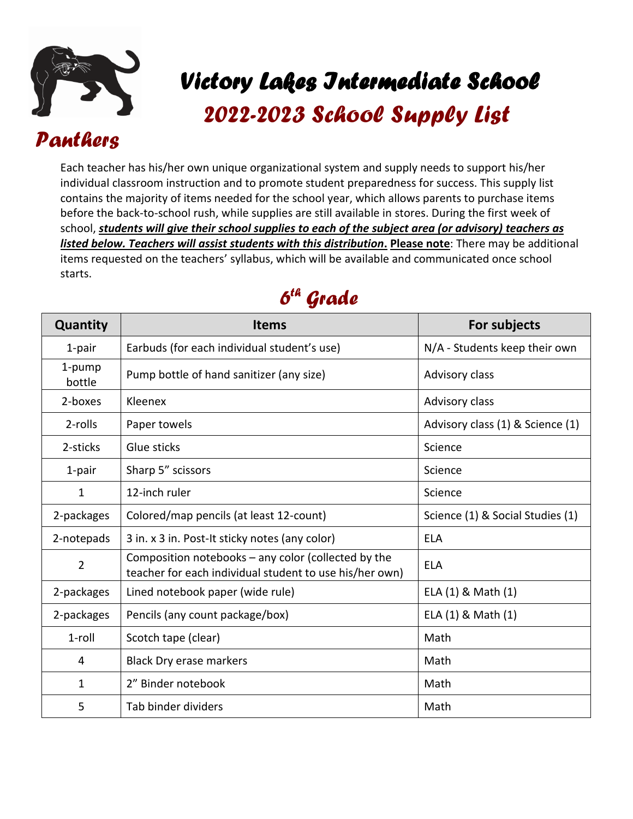

## **\_**   *Victory Lakes Intermediate School*

*01 2022-2023 School Supply List* 

## *Panthers*

Each teacher has his/her own unique organizational system and supply needs to support his/her individual classroom instruction and to promote student preparedness for success. This supply list contains the majority of items needed for the school year, which allows parents to purchase items before the back-to-school rush, while supplies are still available in stores. During the first week of school, *students will give their school supplies to each of the subject area (or advisory) teachers as listed below. Teachers will assist students with this distribution***. Please note**: There may be additional items requested on the teachers' syllabus, which will be available and communicated once school starts.



| Quantity         | <b>Items</b>                                                                                                     | For subjects                     |
|------------------|------------------------------------------------------------------------------------------------------------------|----------------------------------|
| 1-pair           | Earbuds (for each individual student's use)                                                                      | N/A - Students keep their own    |
| 1-pump<br>bottle | Pump bottle of hand sanitizer (any size)                                                                         | Advisory class                   |
| 2-boxes          | Kleenex                                                                                                          | Advisory class                   |
| 2-rolls          | Paper towels                                                                                                     | Advisory class (1) & Science (1) |
| 2-sticks         | Glue sticks                                                                                                      | Science                          |
| 1-pair           | Sharp 5" scissors                                                                                                | Science                          |
| $\mathbf 1$      | 12-inch ruler                                                                                                    | Science                          |
| 2-packages       | Colored/map pencils (at least 12-count)                                                                          | Science (1) & Social Studies (1) |
| 2-notepads       | 3 in. x 3 in. Post-It sticky notes (any color)                                                                   | <b>ELA</b>                       |
| $\overline{2}$   | Composition notebooks $-$ any color (collected by the<br>teacher for each individual student to use his/her own) | <b>ELA</b>                       |
| 2-packages       | Lined notebook paper (wide rule)                                                                                 | ELA (1) & Math (1)               |
| 2-packages       | Pencils (any count package/box)                                                                                  | ELA (1) & Math (1)               |
| $1$ -roll        | Scotch tape (clear)                                                                                              | Math                             |
| 4                | Black Dry erase markers                                                                                          | Math                             |
| $\mathbf{1}$     | 2" Binder notebook                                                                                               | Math                             |
| 5                | Tab binder dividers                                                                                              | Math                             |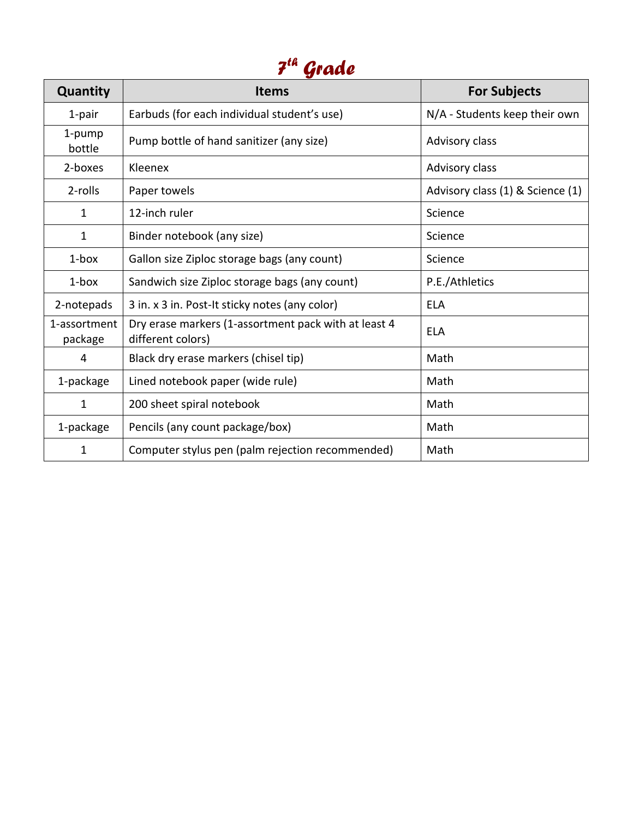## *7 th Grade*

| Quantity                | <b>Items</b>                                                              | <b>For Subjects</b>              |
|-------------------------|---------------------------------------------------------------------------|----------------------------------|
| 1-pair                  | Earbuds (for each individual student's use)                               | N/A - Students keep their own    |
| 1-pump<br>bottle        | Pump bottle of hand sanitizer (any size)                                  | Advisory class                   |
| 2-boxes                 | Kleenex                                                                   | Advisory class                   |
| 2-rolls                 | Paper towels                                                              | Advisory class (1) & Science (1) |
| $\mathbf{1}$            | 12-inch ruler                                                             | Science                          |
| $\mathbf{1}$            | Binder notebook (any size)                                                | Science                          |
| $1$ -box                | Gallon size Ziploc storage bags (any count)                               | Science                          |
| $1$ -box                | Sandwich size Ziploc storage bags (any count)                             | P.E./Athletics                   |
| 2-notepads              | 3 in. x 3 in. Post-It sticky notes (any color)                            | <b>ELA</b>                       |
| 1-assortment<br>package | Dry erase markers (1-assortment pack with at least 4<br>different colors) | ELA                              |
| 4                       | Black dry erase markers (chisel tip)                                      | Math                             |
| 1-package               | Lined notebook paper (wide rule)                                          | Math                             |
| 1                       | 200 sheet spiral notebook                                                 | Math                             |
| 1-package               | Pencils (any count package/box)                                           | Math                             |
| 1                       | Computer stylus pen (palm rejection recommended)                          | Math                             |